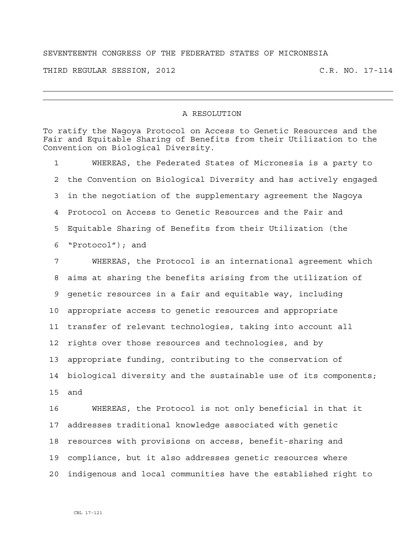## SEVENTEENTH CONGRESS OF THE FEDERATED STATES OF MICRONESIA

THIRD REGULAR SESSION, 2012 C.R. NO. 17-114

## A RESOLUTION

To ratify the Nagoya Protocol on Access to Genetic Resources and the Fair and Equitable Sharing of Benefits from their Utilization to the Convention on Biological Diversity.

1 WHEREAS, the Federated States of Micronesia is a party to 2 the Convention on Biological Diversity and has actively engaged 3 in the negotiation of the supplementary agreement the Nagoya 4 Protocol on Access to Genetic Resources and the Fair and 5 Equitable Sharing of Benefits from their Utilization (the 6 "Protocol"); and

7 WHEREAS, the Protocol is an international agreement which 8 aims at sharing the benefits arising from the utilization of 9 genetic resources in a fair and equitable way, including 10 appropriate access to genetic resources and appropriate 11 transfer of relevant technologies, taking into account all 12 rights over those resources and technologies, and by 13 appropriate funding, contributing to the conservation of 14 biological diversity and the sustainable use of its components; 15 and

16 WHEREAS, the Protocol is not only beneficial in that it 17 addresses traditional knowledge associated with genetic 18 resources with provisions on access, benefit-sharing and 19 compliance, but it also addresses genetic resources where 20 indigenous and local communities have the established right to